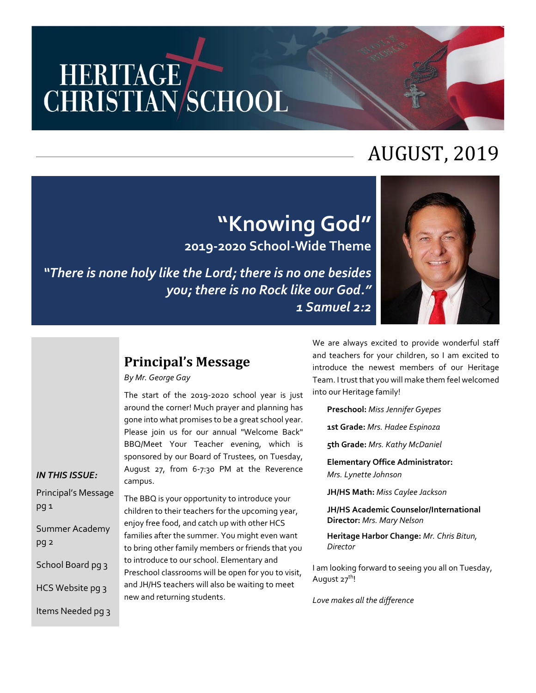# HERITAGE<br>CHRISTIAN/SCHOOL

# AUGUST, 2019

# **"Knowing God" 2019-2020 School-Wide Theme**

*"There is none holy like the Lord; there is no one besides you; there is no Rock like our God." 1 Samuel 2:2*



# **Principal's Message**

*By Mr. George Gay*

The start of the 2019-2020 school year is just around the corner! Much prayer and planning has gone into what promises to be a great school year. Please join us for our annual "Welcome Back" BBQ/Meet Your Teacher evening, which is sponsored by our Board of Trustees, on Tuesday, August 27, from 6-7:30 PM at the Reverence campus.

*IN THIS ISSUE:* Principal's Message pg 1 Summer Academy pg 2 School Board pg 3 HCS Website pg 3 Items Needed pg 3

The BBQ is your opportunity to introduce your children to their teachers for the upcoming year, enjoy free food, and catch up with other HCS families after the summer. You might even want to bring other family members or friends that you to introduce to our school. Elementary and Preschool classrooms will be open for you to visit, and JH/HS teachers will also be waiting to meet new and returning students.

We are always excited to provide wonderful staff and teachers for your children, so I am excited to introduce the newest members of our Heritage Team. I trust that you will make them feel welcomed into our Heritage family!

**Preschool:** *Miss Jennifer Gyepes*

**1st Grade:** *Mrs. Hadee Espinoza*

**5th Grade:** *Mrs. Kathy McDaniel*

**Elementary Office Administrator:** *Mrs. Lynette Johnson*

**JH/HS Math:** *Miss Caylee Jackson*

**JH/HS Academic Counselor/International Director:** *Mrs. Mary Nelson*

**Heritage Harbor Change:** *Mr. Chris Bitun, Director*

I am looking forward to seeing you all on Tuesday, August 27<sup>th</sup>!

*Love makes all the difference*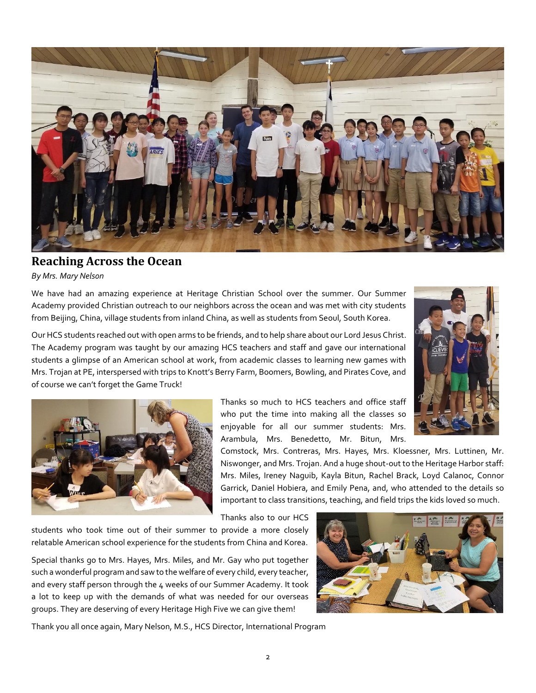

#### **Reaching Across the Ocean**

*By Mrs. Mary Nelson*

We have had an amazing experience at Heritage Christian School over the summer. Our Summer Academy provided Christian outreach to our neighbors across the ocean and was met with city students from Beijing, China, village students from inland China, as well as students from Seoul, South Korea.

Our HCS students reached out with open arms to be friends, and to help share about our Lord Jesus Christ. The Academy program was taught by our amazing HCS teachers and staff and gave our international students a glimpse of an American school at work, from academic classes to learning new games with Mrs. Trojan at PE, interspersed with trips to Knott's Berry Farm, Boomers, Bowling, and Pirates Cove, and of course we can't forget the Game Truck!





Thanks so much to HCS teachers and office staff who put the time into making all the classes so enjoyable for all our summer students: Mrs. Arambula, Mrs. Benedetto, Mr. Bitun, Mrs.

Comstock, Mrs. Contreras, Mrs. Hayes, Mrs. Kloessner, Mrs. Luttinen, Mr. Niswonger, and Mrs. Trojan. And a huge shout-out to the Heritage Harbor staff: Mrs. Miles, Ireney Naguib, Kayla Bitun, Rachel Brack, Loyd Calanoc, Connor Garrick, Daniel Hobiera, and Emily Pena, and, who attended to the details so important to class transitions, teaching, and field trips the kids loved so much.

Thanks also to our HCS

students who took time out of their summer to provide a more closely relatable American school experience for the students from China and Korea.

Special thanks go to Mrs. Hayes, Mrs. Miles, and Mr. Gay who put together such a wonderful program and saw to the welfare of every child, every teacher, and every staff person through the 4 weeks of our Summer Academy. It took a lot to keep up with the demands of what was needed for our overseas groups. They are deserving of every Heritage High Five we can give them!



Thank you all once again, Mary Nelson, M.S., HCS Director, International Program